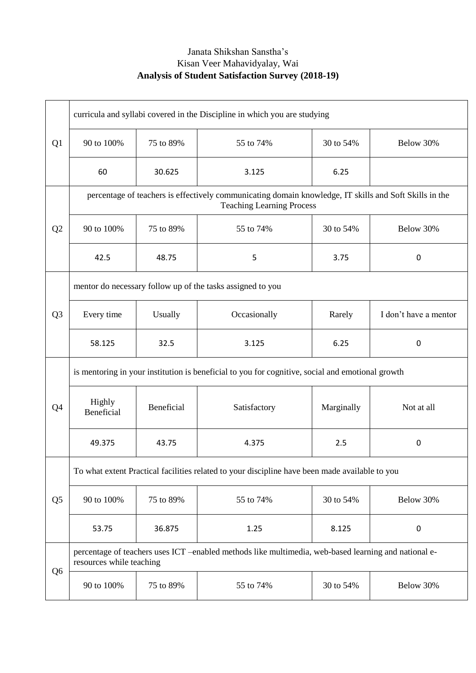## Janata Shikshan Sanstha's Kisan Veer Mahavidyalay, Wai **Analysis of Student Satisfaction Survey (2018-19)**

|                | curricula and syllabi covered in the Discipline in which you are studying                                                                  |            |              |            |                       |  |
|----------------|--------------------------------------------------------------------------------------------------------------------------------------------|------------|--------------|------------|-----------------------|--|
| Q1             | 90 to 100%                                                                                                                                 | 75 to 89%  | 55 to 74%    | 30 to 54%  | Below 30%             |  |
|                | 60                                                                                                                                         | 30.625     | 3.125        | 6.25       |                       |  |
| Q2             | percentage of teachers is effectively communicating domain knowledge, IT skills and Soft Skills in the<br><b>Teaching Learning Process</b> |            |              |            |                       |  |
|                | 90 to 100%                                                                                                                                 | 75 to 89%  | 55 to 74%    | 30 to 54%  | Below 30%             |  |
|                | 42.5                                                                                                                                       | 48.75      | 5            | 3.75       | 0                     |  |
| Q <sub>3</sub> | mentor do necessary follow up of the tasks assigned to you                                                                                 |            |              |            |                       |  |
|                | Every time                                                                                                                                 | Usually    | Occasionally | Rarely     | I don't have a mentor |  |
|                | 58.125                                                                                                                                     | 32.5       | 3.125        | 6.25       | 0                     |  |
| Q <sub>4</sub> | is mentoring in your institution is beneficial to you for cognitive, social and emotional growth                                           |            |              |            |                       |  |
|                | Highly<br>Beneficial                                                                                                                       | Beneficial | Satisfactory | Marginally | Not at all            |  |
|                | 49.375                                                                                                                                     | 43.75      | 4.375        | 2.5        | 0                     |  |
| Q <sub>5</sub> | To what extent Practical facilities related to your discipline have been made available to you                                             |            |              |            |                       |  |
|                | 90 to 100%                                                                                                                                 | 75 to 89%  | 55 to 74%    | 30 to 54%  | Below 30%             |  |
|                | 53.75                                                                                                                                      | 36.875     | 1.25         | 8.125      | $\boldsymbol{0}$      |  |
| Q <sub>6</sub> | percentage of teachers uses ICT -enabled methods like multimedia, web-based learning and national e-<br>resources while teaching           |            |              |            |                       |  |
|                | 90 to 100%                                                                                                                                 | 75 to 89%  | 55 to 74%    | 30 to 54%  | Below 30%             |  |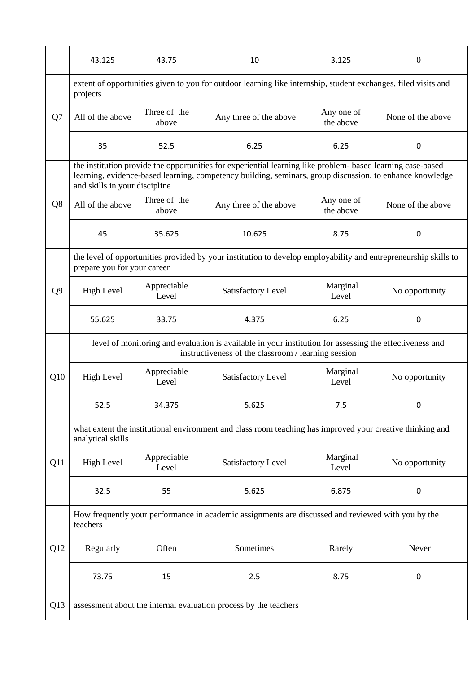|                | 43.125                                                                                                                                                                                                                                                   | 43.75                 | 10                     | 3.125                   | $\theta$          |  |  |
|----------------|----------------------------------------------------------------------------------------------------------------------------------------------------------------------------------------------------------------------------------------------------------|-----------------------|------------------------|-------------------------|-------------------|--|--|
|                | extent of opportunities given to you for outdoor learning like internship, student exchanges, filed visits and<br>projects                                                                                                                               |                       |                        |                         |                   |  |  |
| Q7             | All of the above                                                                                                                                                                                                                                         | Three of the<br>above | Any three of the above | Any one of<br>the above | None of the above |  |  |
|                | 35                                                                                                                                                                                                                                                       | 52.5                  | 6.25                   | 6.25                    | $\Omega$          |  |  |
|                | the institution provide the opportunities for experiential learning like problem- based learning case-based<br>learning, evidence-based learning, competency building, seminars, group discussion, to enhance knowledge<br>and skills in your discipline |                       |                        |                         |                   |  |  |
| Q <sub>8</sub> | All of the above                                                                                                                                                                                                                                         | Three of the<br>above | Any three of the above | Any one of<br>the above | None of the above |  |  |
|                | 45                                                                                                                                                                                                                                                       | 35.625                | 10.625                 | 8.75                    | 0                 |  |  |
|                | the level of opportunities provided by your institution to develop employability and entrepreneurship skills to<br>prepare you for your career                                                                                                           |                       |                        |                         |                   |  |  |
| Q <sub>9</sub> | <b>High Level</b>                                                                                                                                                                                                                                        | Appreciable<br>Level  | Satisfactory Level     | Marginal<br>Level       | No opportunity    |  |  |
|                | 55.625                                                                                                                                                                                                                                                   | 33.75                 | 4.375                  | 6.25                    | 0                 |  |  |
|                | level of monitoring and evaluation is available in your institution for assessing the effectiveness and<br>instructiveness of the classroom / learning session                                                                                           |                       |                        |                         |                   |  |  |
| Q10            | <b>High Level</b>                                                                                                                                                                                                                                        | Appreciable<br>Level  | Satisfactory Level     | Marginal<br>Level       | No opportunity    |  |  |
|                | 52.5                                                                                                                                                                                                                                                     | 34.375                | 5.625                  | 7.5                     | 0                 |  |  |
|                | what extent the institutional environment and class room teaching has improved your creative thinking and<br>analytical skills                                                                                                                           |                       |                        |                         |                   |  |  |
| Q11            | <b>High Level</b>                                                                                                                                                                                                                                        | Appreciable<br>Level  | Satisfactory Level     | Marginal<br>Level       | No opportunity    |  |  |
|                | 32.5                                                                                                                                                                                                                                                     | 55                    | 5.625                  | 6.875                   | $\mathbf 0$       |  |  |
|                | How frequently your performance in academic assignments are discussed and reviewed with you by the<br>teachers                                                                                                                                           |                       |                        |                         |                   |  |  |
| Q12            | Regularly                                                                                                                                                                                                                                                | Often                 | Sometimes              | Rarely                  | Never             |  |  |
|                | 73.75                                                                                                                                                                                                                                                    | 15                    | 2.5                    | 8.75                    | $\mathbf 0$       |  |  |
| Q13            | assessment about the internal evaluation process by the teachers                                                                                                                                                                                         |                       |                        |                         |                   |  |  |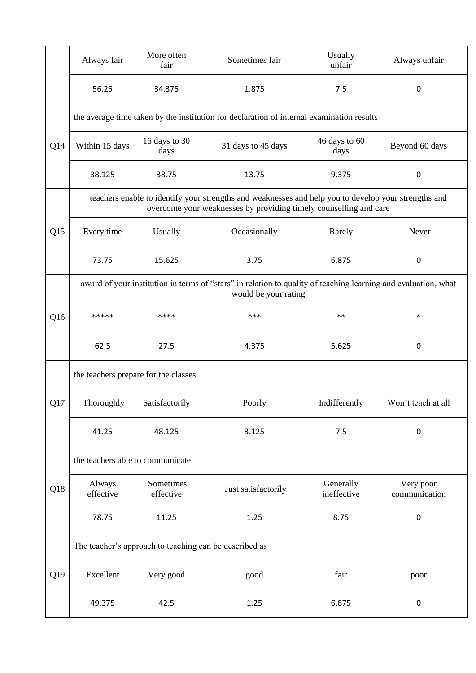|                 | Always fair                                                                                                                                                               | More often<br>fair     | Sometimes fair                                                                                                 | Usually<br>unfair        | Always unfair              |  |  |
|-----------------|---------------------------------------------------------------------------------------------------------------------------------------------------------------------------|------------------------|----------------------------------------------------------------------------------------------------------------|--------------------------|----------------------------|--|--|
|                 | 56.25                                                                                                                                                                     | 34.375                 | 1.875                                                                                                          | 7.5                      | 0                          |  |  |
|                 | the average time taken by the institution for declaration of internal examination results                                                                                 |                        |                                                                                                                |                          |                            |  |  |
| Q14             | Within 15 days                                                                                                                                                            | 16 days to 30<br>days  | 31 days to 45 days                                                                                             | 46 days to 60<br>days    | Beyond 60 days             |  |  |
|                 | 38.125                                                                                                                                                                    | 38.75                  | 13.75                                                                                                          | 9.375                    | $\mathbf 0$                |  |  |
|                 | teachers enable to identify your strengths and weaknesses and help you to develop your strengths and<br>overcome your weaknesses by providing timely counselling and care |                        |                                                                                                                |                          |                            |  |  |
| Q15             | Every time                                                                                                                                                                | Usually                | Occasionally                                                                                                   | Rarely                   | Never                      |  |  |
|                 | 73.75                                                                                                                                                                     | 15.625                 | 3.75                                                                                                           | 6.875                    | 0                          |  |  |
|                 |                                                                                                                                                                           |                        | award of your institution in terms of "stars" in relation to quality of teaching learning and evaluation, what |                          |                            |  |  |
| Q <sub>16</sub> | *****                                                                                                                                                                     | ****                   | ***                                                                                                            | $**$                     | $\ast$                     |  |  |
|                 | 62.5                                                                                                                                                                      | 27.5                   | 4.375                                                                                                          | 5.625                    | $\mathbf 0$                |  |  |
|                 | the teachers prepare for the classes                                                                                                                                      |                        |                                                                                                                |                          |                            |  |  |
| Q17             | Thoroughly                                                                                                                                                                | Satisfactorily         | Poorly                                                                                                         | Indifferently            | Won't teach at all         |  |  |
|                 | 41.25                                                                                                                                                                     | 48.125                 | 3.125                                                                                                          | 7.5                      | $\pmb{0}$                  |  |  |
|                 | the teachers able to communicate                                                                                                                                          |                        |                                                                                                                |                          |                            |  |  |
| Q18             | Always<br>effective                                                                                                                                                       | Sometimes<br>effective | Just satisfactorily                                                                                            | Generally<br>ineffective | Very poor<br>communication |  |  |
|                 | 78.75                                                                                                                                                                     | 11.25                  | 1.25                                                                                                           | 8.75                     | $\pmb{0}$                  |  |  |
|                 | The teacher's approach to teaching can be described as                                                                                                                    |                        |                                                                                                                |                          |                            |  |  |
| Q19             | Excellent                                                                                                                                                                 | Very good              | good                                                                                                           | fair                     | poor                       |  |  |
|                 | 49.375                                                                                                                                                                    | 42.5                   | 1.25                                                                                                           | 6.875                    | 0                          |  |  |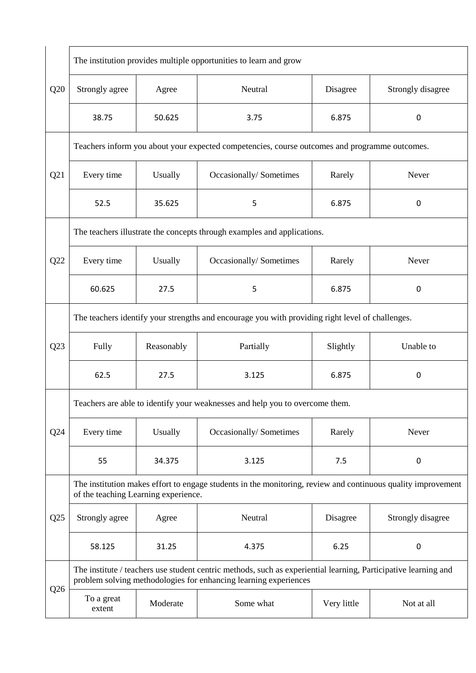|     | The institution provides multiple opportunities to learn and grow                                                                                                                   |            |                         |             |                   |  |  |
|-----|-------------------------------------------------------------------------------------------------------------------------------------------------------------------------------------|------------|-------------------------|-------------|-------------------|--|--|
| Q20 | Strongly agree                                                                                                                                                                      | Agree      | Neutral                 | Disagree    | Strongly disagree |  |  |
|     | 38.75                                                                                                                                                                               | 50.625     | 3.75                    | 6.875       | $\mathbf 0$       |  |  |
| Q21 | Teachers inform you about your expected competencies, course outcomes and programme outcomes.                                                                                       |            |                         |             |                   |  |  |
|     | Every time                                                                                                                                                                          | Usually    | Occasionally/Sometimes  | Rarely      | Never             |  |  |
|     | 52.5                                                                                                                                                                                | 35.625     | 5                       | 6.875       | 0                 |  |  |
|     | The teachers illustrate the concepts through examples and applications.                                                                                                             |            |                         |             |                   |  |  |
| Q22 | Every time                                                                                                                                                                          | Usually    | Occasionally/ Sometimes | Rarely      | Never             |  |  |
|     | 60.625                                                                                                                                                                              | 27.5       | 5                       | 6.875       | 0                 |  |  |
|     | The teachers identify your strengths and encourage you with providing right level of challenges.                                                                                    |            |                         |             |                   |  |  |
| Q23 | Fully                                                                                                                                                                               | Reasonably | Partially               | Slightly    | Unable to         |  |  |
|     | 62.5                                                                                                                                                                                | 27.5       | 3.125                   | 6.875       | 0                 |  |  |
|     | Teachers are able to identify your weaknesses and help you to overcome them.                                                                                                        |            |                         |             |                   |  |  |
| Q24 | Every time                                                                                                                                                                          | Usually    | Occasionally/Sometimes  | Rarely      | Never             |  |  |
|     | 55                                                                                                                                                                                  | 34.375     | 3.125                   | 7.5         | 0                 |  |  |
| Q25 | The institution makes effort to engage students in the monitoring, review and continuous quality improvement<br>of the teaching Learning experience.                                |            |                         |             |                   |  |  |
|     | Strongly agree                                                                                                                                                                      | Agree      | Neutral                 | Disagree    | Strongly disagree |  |  |
|     | 58.125                                                                                                                                                                              | 31.25      | 4.375                   | 6.25        | 0                 |  |  |
| Q26 | The institute / teachers use student centric methods, such as experiential learning, Participative learning and<br>problem solving methodologies for enhancing learning experiences |            |                         |             |                   |  |  |
|     | To a great<br>extent                                                                                                                                                                | Moderate   | Some what               | Very little | Not at all        |  |  |